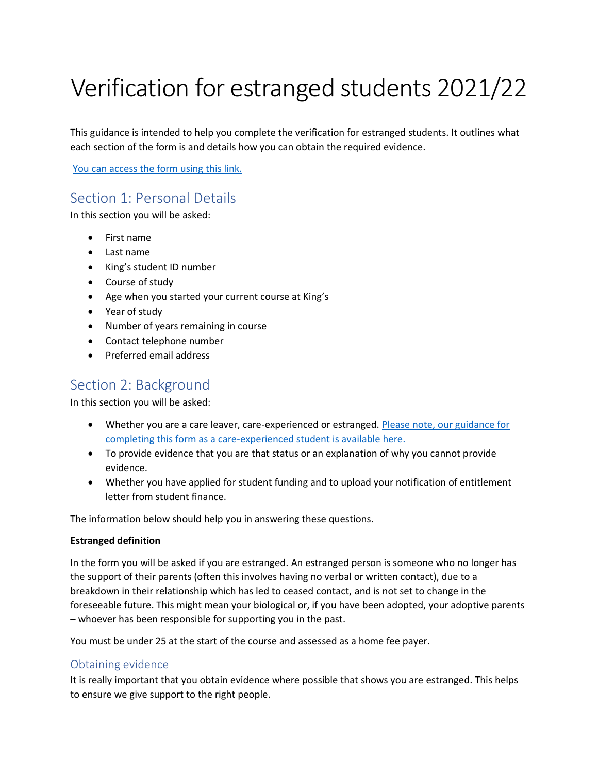# Verification for estranged students 2021/22

This guidance is intended to help you complete the verification for estranged students. It outlines what each section of the form is and details how you can obtain the required evidence.

[You can access the form using this link.](https://forms.office.com/Pages/ResponsePage.aspx?id=FM9wg_MWFky4PHJAcWVDVomfjXva7LJEnE-ecKa4qXpUOFlTUjgzTlFJNjI5REI1SkdKREEzUUU4UyQlQCN0PWcu) 

# Section 1: Personal Details

In this section you will be asked:

- First name
- Last name
- King's student ID number
- Course of study
- Age when you started your current course at King's
- Year of study
- Number of years remaining in course
- Contact telephone number
- Preferred email address

## Section 2: Background

In this section you will be asked:

- Whether you are a care leaver, care-experienced or estranged. [Please note, our guidance for](https://www.kcl.ac.uk/study/assets/pdf/widening-participation/guidance-on-completing-enrolment-task-care-experienced-students.pdf)  [completing this form as a care-experienced student is available here.](https://www.kcl.ac.uk/study/assets/pdf/widening-participation/guidance-on-completing-enrolment-task-care-experienced-students.pdf)
- To provide evidence that you are that status or an explanation of why you cannot provide evidence.
- Whether you have applied for student funding and to upload your notification of entitlement letter from student finance.

The information below should help you in answering these questions.

#### **Estranged definition**

In the form you will be asked if you are estranged. An estranged person is someone who no longer has the support of their parents (often this involves having no verbal or written contact), due to a breakdown in their relationship which has led to ceased contact, and is not set to change in the foreseeable future. This might mean your biological or, if you have been adopted, your adoptive parents – whoever has been responsible for supporting you in the past.

You must be under 25 at the start of the course and assessed as a home fee payer.

#### Obtaining evidence

It is really important that you obtain evidence where possible that shows you are estranged. This helps to ensure we give support to the right people.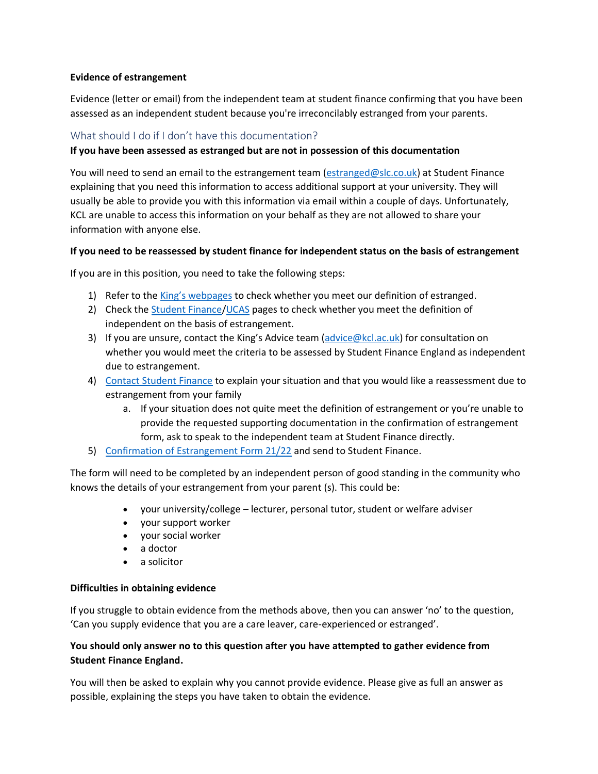#### **Evidence of estrangement**

Evidence (letter or email) from the independent team at student finance confirming that you have been assessed as an independent student because you're irreconcilably estranged from your parents.

#### What should I do if I don't have this documentation?

#### **If you have been assessed as estranged but are not in possession of this documentation**

You will need to send an email to the estrangement team [\(estranged@slc.co.uk\)](mailto:estranged@slc.co.uk) at Student Finance explaining that you need this information to access additional support at your university. They will usually be able to provide you with this information via email within a couple of days. Unfortunately, KCL are unable to access this information on your behalf as they are not allowed to share your information with anyone else.

#### **If you need to be reassessed by student finance for independent status on the basis of estrangement**

If you are in this position, you need to take the following steps:

- 1) Refer to the King's [webpages](http://www.kcl.ac.uk/estranged) to check whether you meet our definition of estranged.
- 2) Check th[e Student Finance](https://www.gov.uk/apply-for-student-finance/household-income)[/UCAS](https://www.ucas.com/finance/student-finance-england/finance-independent-students#estranged) pages to check whether you meet the definition of independent on the basis of estrangement.
- 3) If you are unsure, contact the King's Advice team  $(advice@kcl.ac.uk)$  $(advice@kcl.ac.uk)$  for consultation on whether you would meet the criteria to be assessed by Student Finance England as independent due to estrangement.
- 4) [Contact Student Finance](https://www.gov.uk/contact-student-finance-england) to explain your situation and that you would like a reassessment due to estrangement from your family
	- a. If your situation does not quite meet the definition of estrangement or you're unable to provide the requested supporting documentation in the confirmation of estrangement form, ask to speak to the independent team at Student Finance directly.
- 5) [Confirmation of Estrangement Form 21/22](https://media.slc.co.uk/sfe/2122/ft/sfe_confirmation_of_estrangement_form_2122_o.pdf) and send to Student Finance.

The form will need to be completed by an independent person of good standing in the community who knows the details of your estrangement from your parent (s). This could be:

- your university/college lecturer, personal tutor, student or welfare adviser
- your support worker
- your social worker
- a doctor
- a solicitor

#### **Difficulties in obtaining evidence**

If you struggle to obtain evidence from the methods above, then you can answer 'no' to the question, 'Can you supply evidence that you are a care leaver, care-experienced or estranged'.

#### **You should only answer no to this question after you have attempted to gather evidence from Student Finance England.**

You will then be asked to explain why you cannot provide evidence. Please give as full an answer as possible, explaining the steps you have taken to obtain the evidence.